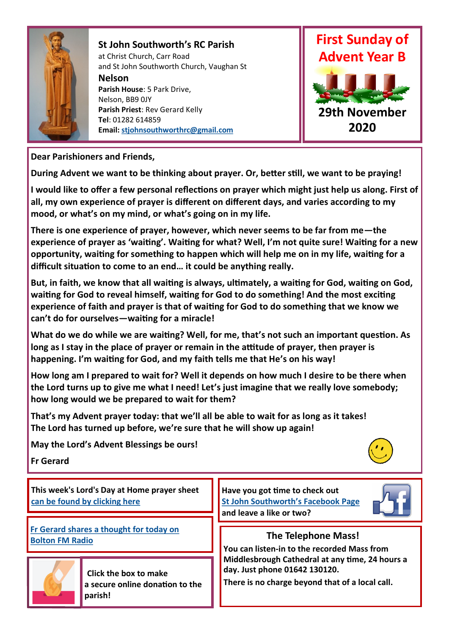

## **St John Southworth's RC Parish**

at Christ Church, Carr Road and St John Southworth Church, Vaughan St **Nelson**

**Parish House**: 5 Park Drive, Nelson, BB9 0JY **Parish Priest**: Rev Gerard Kelly **Tel**: 01282 614859 **Email: [stjohnsouthworthrc@gmail.com](mailto:stjohnsouthworthrc@gmail.com)**



**Dear Parishioners and Friends,**

**During Advent we want to be thinking about prayer. Or, better still, we want to be praying!**

**I would like to offer a few personal reflections on prayer which might just help us along. First of all, my own experience of prayer is different on different days, and varies according to my mood, or what's on my mind, or what's going on in my life.**

**There is one experience of prayer, however, which never seems to be far from me—the experience of prayer as 'waiting'. Waiting for what? Well, I'm not quite sure! Waiting for a new opportunity, waiting for something to happen which will help me on in my life, waiting for a difficult situation to come to an end… it could be anything really.** 

**But, in faith, we know that all waiting is always, ultimately, a waiting for God, waiting on God, waiting for God to reveal himself, waiting for God to do something! And the most exciting experience of faith and prayer is that of waiting for God to do something that we know we can't do for ourselves—waiting for a miracle!**

**What do we do while we are waiting? Well, for me, that's not such an important question. As long as I stay in the place of prayer or remain in the attitude of prayer, then prayer is happening. I'm waiting for God, and my faith tells me that He's on his way!**

**How long am I prepared to wait for? Well it depends on how much I desire to be there when the Lord turns up to give me what I need! Let's just imagine that we really love somebody; how long would we be prepared to wait for them?** 

**That's my Advent prayer today: that we'll all be able to wait for as long as it takes! The Lord has turned up before, we're sure that he will show up again!**

**May the Lord's Advent Blessings be ours!**

**Fr Gerard**



**This week's Lord's Day at Home prayer sheet [can be found by clicking here](https://dioceseofsalford.us6.list-manage.com/track/click?u=76e219dab8653b775ba8aac4c&id=d06e75dd17&e=d7934f34b6)**

**[Fr Gerard shares a thought for today on](https://drive.google.com/file/d/1-JEOHgzEApILsgrolq35pZJoYipAz7wE/view?usp=sharing)  [Bolton FM Radio](https://drive.google.com/file/d/1-JEOHgzEApILsgrolq35pZJoYipAz7wE/view?usp=sharing)**



 **The Telephone Mass!**

**Have you got time to check out [St John Southworth's Facebook Page](https://www.facebook.com/Parish-of-St-John-Southworth-in-Nelson-105718084323986)**

**and leave a like or two?** 

**You can listen-in to the recorded Mass from Middlesbrough Cathedral at any time, 24 hours a day. Just phone 01642 130120.** 

**There is no charge beyond that of a local call.**



 **Click the box to make a secure online donation to the parish!**